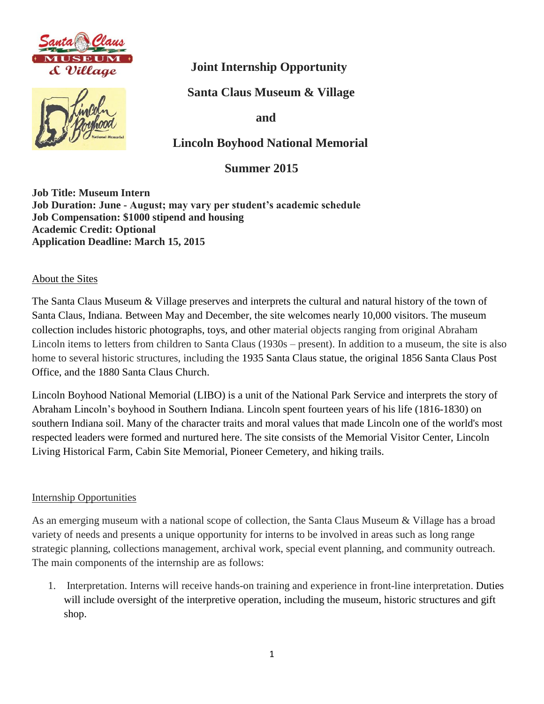



# **Joint Internship Opportunity**

 **Santa Claus Museum & Village**

 **and** 

 **Lincoln Boyhood National Memorial**

 **Summer 2015** 

**Job Title: Museum Intern Job Duration: June - August; may vary per student's academic schedule Job Compensation: \$1000 stipend and housing Academic Credit: Optional Application Deadline: March 15, 2015**

#### About the Sites

The Santa Claus Museum & Village preserves and interprets the cultural and natural history of the town of Santa Claus, Indiana. Between May and December, the site welcomes nearly 10,000 visitors. The museum collection includes historic photographs, toys, and other material objects ranging from original Abraham Lincoln items to letters from children to Santa Claus (1930s – present). In addition to a museum, the site is also home to several historic structures, including the 1935 Santa Claus statue, the original 1856 Santa Claus Post Office, and the 1880 Santa Claus Church.

Lincoln Boyhood National Memorial (LIBO) is a unit of the National Park Service and interprets the story of Abraham Lincoln's boyhood in Southern Indiana. Lincoln spent fourteen years of his life (1816-1830) on southern Indiana soil. Many of the character traits and moral values that made Lincoln one of the world's most respected leaders were formed and nurtured here. The site consists of the Memorial Visitor Center, Lincoln Living Historical Farm, Cabin Site Memorial, Pioneer Cemetery, and hiking trails.

#### Internship Opportunities

As an emerging museum with a national scope of collection, the Santa Claus Museum & Village has a broad variety of needs and presents a unique opportunity for interns to be involved in areas such as long range strategic planning, collections management, archival work, special event planning, and community outreach. The main components of the internship are as follows:

1. Interpretation. Interns will receive hands-on training and experience in front-line interpretation. Duties will include oversight of the interpretive operation, including the museum, historic structures and gift shop.